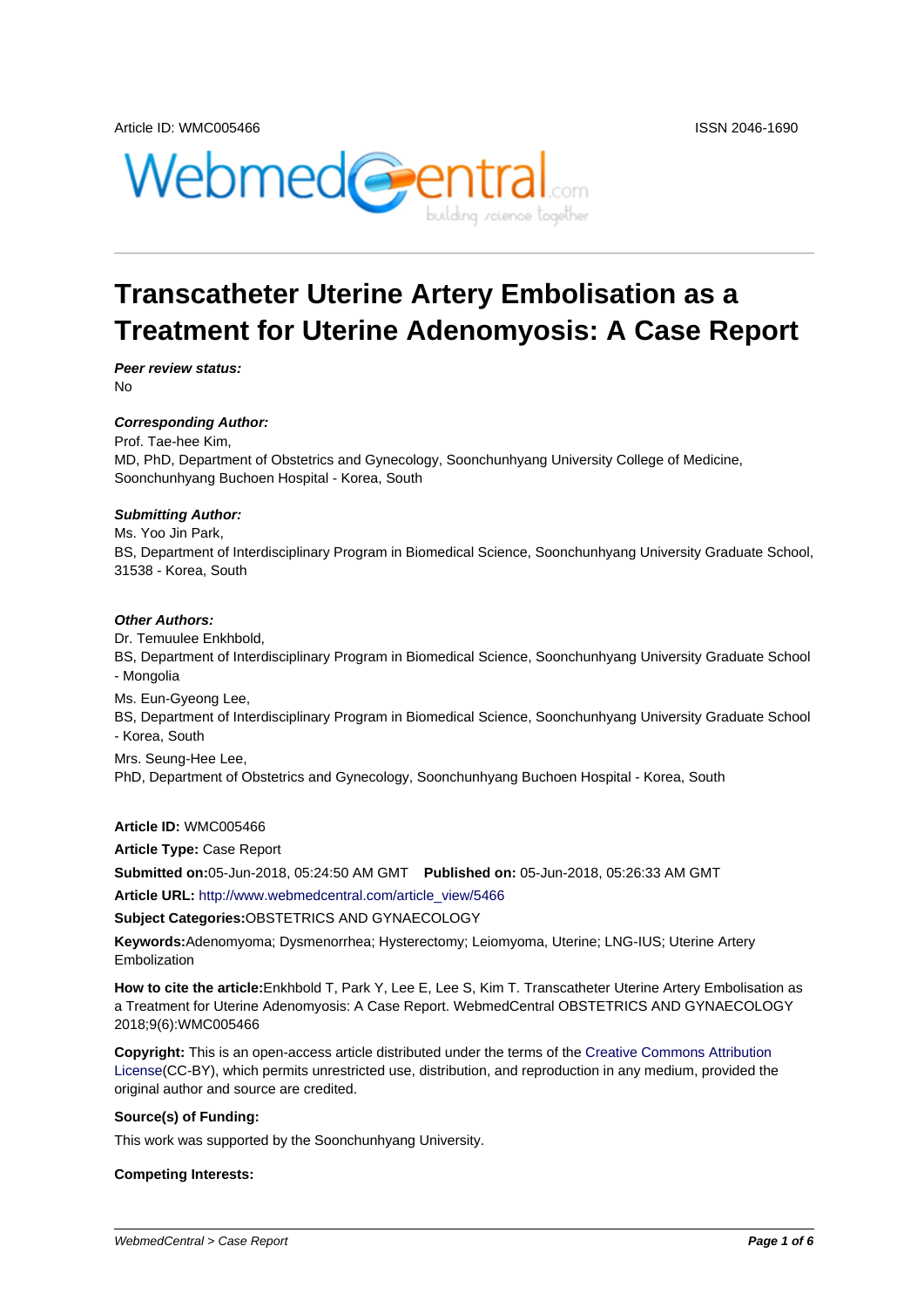

# **Transcatheter Uterine Artery Embolisation as a Treatment for Uterine Adenomyosis: A Case Report**

**Peer review status:** No

### **Corresponding Author:**

Prof. Tae-hee Kim, MD, PhD, Department of Obstetrics and Gynecology, Soonchunhyang University College of Medicine, Soonchunhyang Buchoen Hospital - Korea, South

### **Submitting Author:**

Ms. Yoo Jin Park,

BS, Department of Interdisciplinary Program in Biomedical Science, Soonchunhyang University Graduate School, 31538 - Korea, South

#### **Other Authors:**

Dr. Temuulee Enkhbold,

BS, Department of Interdisciplinary Program in Biomedical Science, Soonchunhyang University Graduate School - Mongolia

Ms. Eun-Gyeong Lee,

BS, Department of Interdisciplinary Program in Biomedical Science, Soonchunhyang University Graduate School - Korea, South

Mrs. Seung-Hee Lee,

PhD, Department of Obstetrics and Gynecology, Soonchunhyang Buchoen Hospital - Korea, South

#### **Article ID:** WMC005466

**Article Type:** Case Report

**Submitted on:**05-Jun-2018, 05:24:50 AM GMT **Published on:** 05-Jun-2018, 05:26:33 AM GMT

**Article URL:** http://www.webmedcentral.com/article\_view/5466

**Subject Categories:**OBSTETRICS AND GYNAECOLOGY

**Keywords:**Adenomyoma; Dysmenorrhea; Hysterectomy; Leiomyoma, Uterine; LNG-IUS; Uterine Artery Embolization

**How to cite the article:**Enkhbold T, Park Y, Lee E, Lee S, Kim T. Transcatheter Uterine Artery Embolisation as a Treatment for Uterine Adenomyosis: A Case Report. WebmedCentral OBSTETRICS AND GYNAECOLOGY 2018;9(6):WMC005466

**Copyright:** This is an open-access article distributed under the terms of the Creative Commons Attribution License(CC-BY), which permits unrestricted use, distribution, and reproduction in any medium, provided the original author and source are credited.

#### **Source(s) of Funding:**

[This wor](http://creativecommons.org/licenses/by/3.0/)k was supported by the Soonchunhyang University.

#### **Competing Interests:**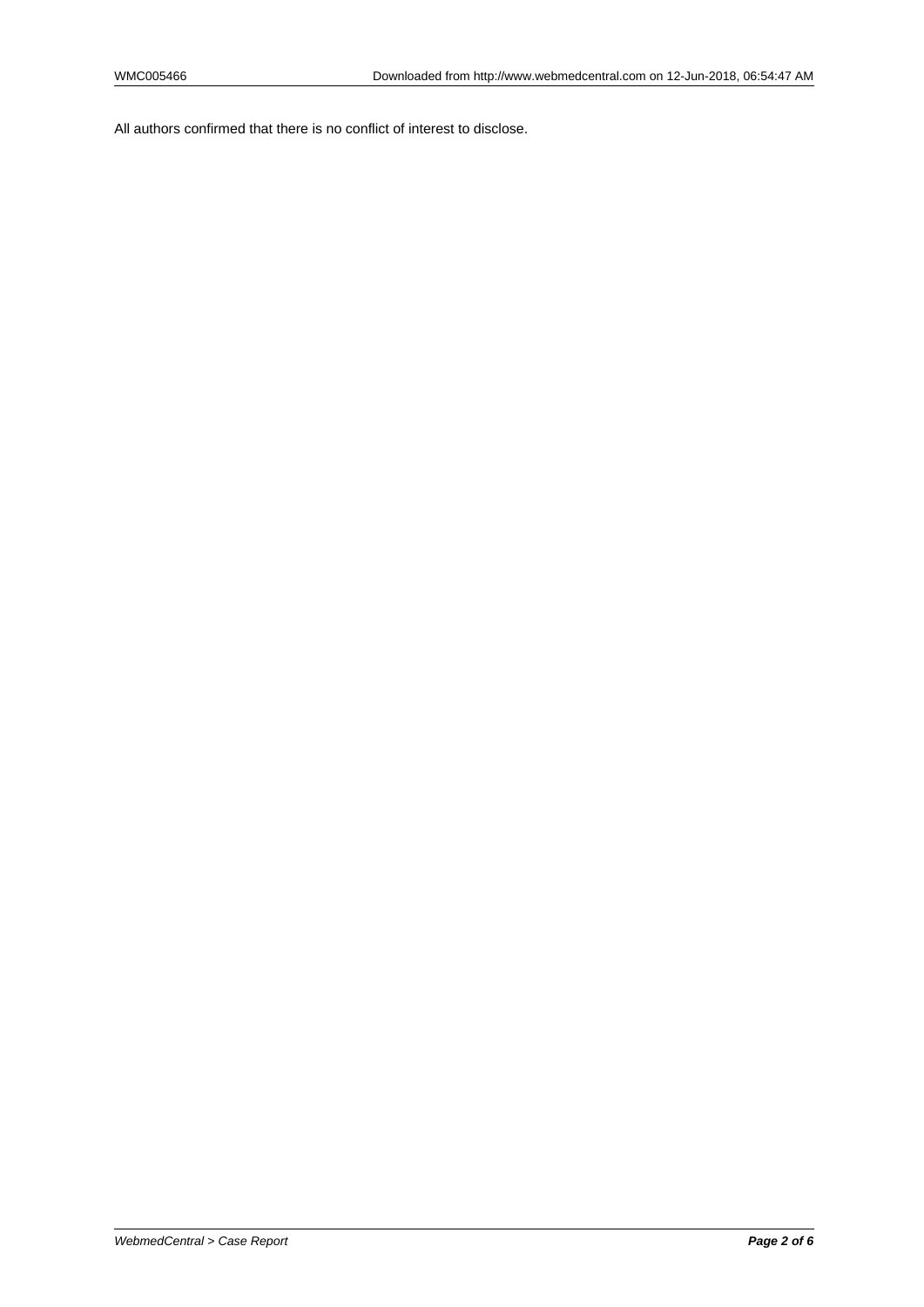All authors confirmed that there is no conflict of interest to disclose.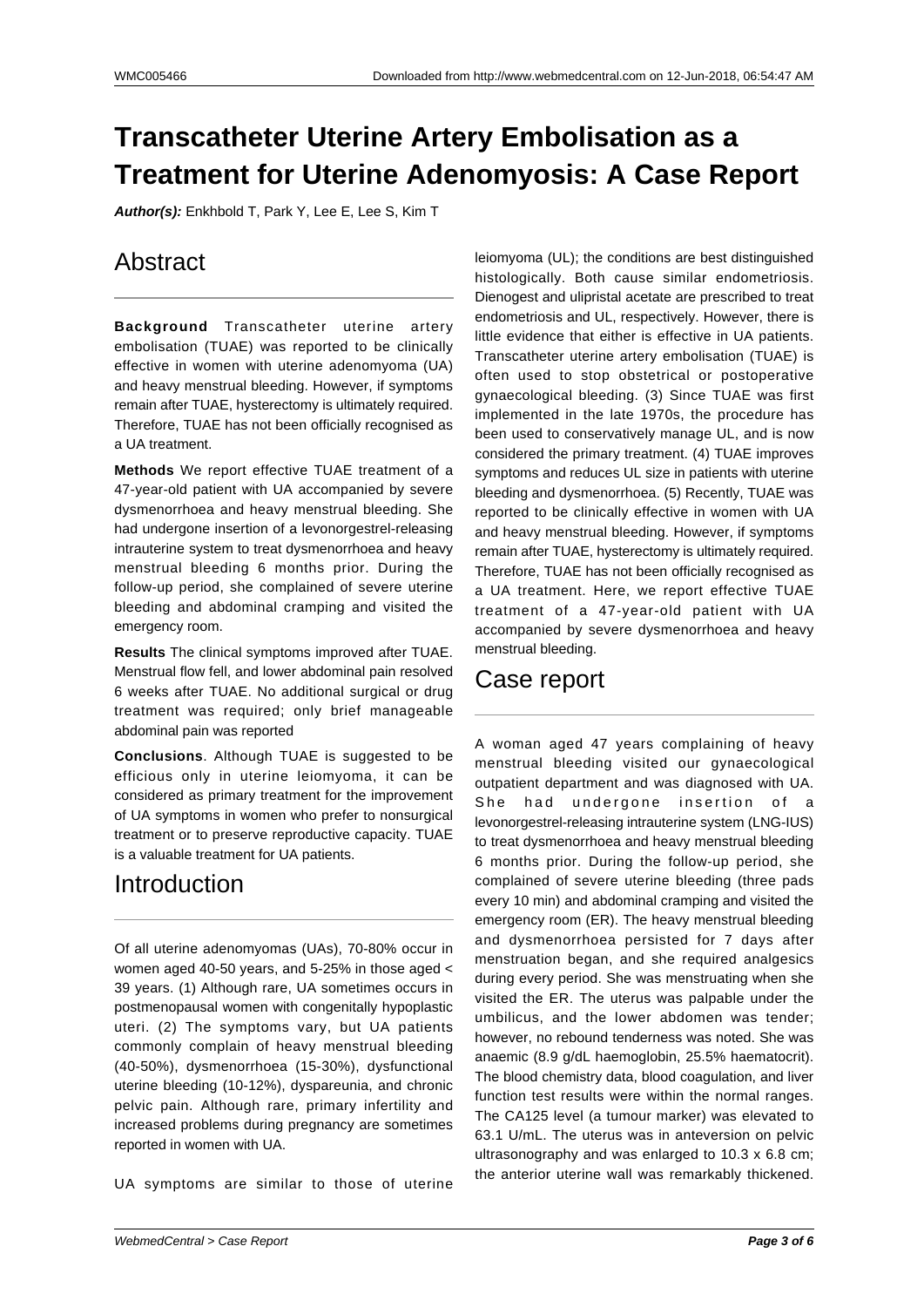# **Transcatheter Uterine Artery Embolisation as a Treatment for Uterine Adenomyosis: A Case Report**

**Author(s):** Enkhbold T, Park Y, Lee E, Lee S, Kim T

## Abstract

**Background** Transcatheter uterine artery embolisation (TUAE) was reported to be clinically effective in women with uterine adenomyoma (UA) and heavy menstrual bleeding. However, if symptoms remain after TUAE, hysterectomy is ultimately required. Therefore, TUAE has not been officially recognised as a UA treatment.

**Methods** We report effective TUAE treatment of a 47-year-old patient with UA accompanied by severe dysmenorrhoea and heavy menstrual bleeding. She had undergone insertion of a levonorgestrel-releasing intrauterine system to treat dysmenorrhoea and heavy menstrual bleeding 6 months prior. During the follow-up period, she complained of severe uterine bleeding and abdominal cramping and visited the emergency room.

**Results** The clinical symptoms improved after TUAE. Menstrual flow fell, and lower abdominal pain resolved 6 weeks after TUAE. No additional surgical or drug treatment was required; only brief manageable abdominal pain was reported

**Conclusions**. Although TUAE is suggested to be efficious only in uterine leiomyoma, it can be considered as primary treatment for the improvement of UA symptoms in women who prefer to nonsurgical treatment or to preserve reproductive capacity. TUAE is a valuable treatment for UA patients.

# Introduction

Of all uterine adenomyomas (UAs), 70-80% occur in women aged 40-50 years, and 5-25% in those aged < 39 years. (1) Although rare, UA sometimes occurs in postmenopausal women with congenitally hypoplastic uteri. (2) The symptoms vary, but UA patients commonly complain of heavy menstrual bleeding (40-50%), dysmenorrhoea (15-30%), dysfunctional uterine bleeding (10-12%), dyspareunia, and chronic pelvic pain. Although rare, primary infertility and increased problems during pregnancy are sometimes reported in women with UA.

UA symptoms are similar to those of uterine

leiomyoma (UL); the conditions are best distinguished histologically. Both cause similar endometriosis. Dienogest and ulipristal acetate are prescribed to treat endometriosis and UL, respectively. However, there is little evidence that either is effective in UA patients. Transcatheter uterine artery embolisation (TUAE) is often used to stop obstetrical or postoperative gynaecological bleeding. (3) Since TUAE was first implemented in the late 1970s, the procedure has been used to conservatively manage UL, and is now considered the primary treatment. (4) TUAE improves symptoms and reduces UL size in patients with uterine bleeding and dysmenorrhoea. (5) Recently, TUAE was reported to be clinically effective in women with UA and heavy menstrual bleeding. However, if symptoms remain after TUAE, hysterectomy is ultimately required. Therefore, TUAE has not been officially recognised as a UA treatment. Here, we report effective TUAE treatment of a 47-year-old patient with UA accompanied by severe dysmenorrhoea and heavy menstrual bleeding.

### Case report

A woman aged 47 years complaining of heavy menstrual bleeding visited our gynaecological outpatient department and was diagnosed with UA. She had undergone insertion of a levonorgestrel-releasing intrauterine system (LNG-IUS) to treat dysmenorrhoea and heavy menstrual bleeding 6 months prior. During the follow-up period, she complained of severe uterine bleeding (three pads every 10 min) and abdominal cramping and visited the emergency room (ER). The heavy menstrual bleeding and dysmenorrhoea persisted for 7 days after menstruation began, and she required analgesics during every period. She was menstruating when she visited the ER. The uterus was palpable under the umbilicus, and the lower abdomen was tender; however, no rebound tenderness was noted. She was anaemic (8.9 g/dL haemoglobin, 25.5% haematocrit). The blood chemistry data, blood coagulation, and liver function test results were within the normal ranges. The CA125 level (a tumour marker) was elevated to 63.1 U/mL. The uterus was in anteversion on pelvic ultrasonography and was enlarged to 10.3 x 6.8 cm; the anterior uterine wall was remarkably thickened.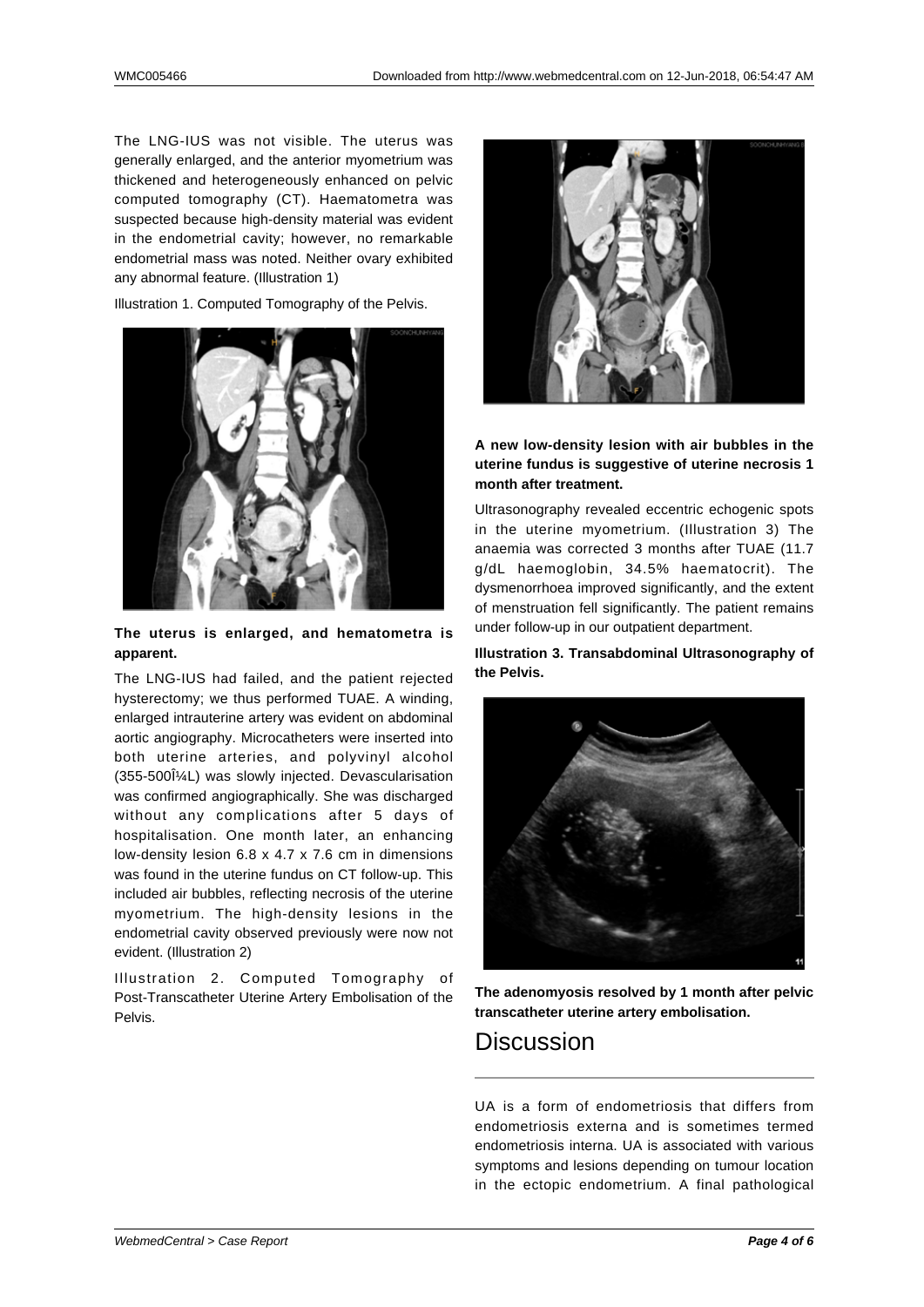The LNG-IUS was not visible. The uterus was generally enlarged, and the anterior myometrium was thickened and heterogeneously enhanced on pelvic computed tomography (CT). Haematometra was suspected because high-density material was evident in the endometrial cavity; however, no remarkable endometrial mass was noted. Neither ovary exhibited any abnormal feature. (Illustration 1)

Illustration 1. Computed Tomography of the Pelvis.



### **The uterus is enlarged, and hematometra is apparent.**

The LNG-IUS had failed, and the patient rejected hysterectomy; we thus performed TUAE. A winding, enlarged intrauterine artery was evident on abdominal aortic angiography. Microcatheters were inserted into both uterine arteries, and polyvinyl alcohol  $(355-500\hat{l}\angle{L})$  was slowly injected. Devascularisation was confirmed angiographically. She was discharged without any complications after 5 days of hospitalisation. One month later, an enhancing low-density lesion 6.8 x 4.7 x 7.6 cm in dimensions was found in the uterine fundus on CT follow-up. This included air bubbles, reflecting necrosis of the uterine myometrium. The high-density lesions in the endometrial cavity observed previously were now not evident. (Illustration 2)

Illustration 2. Computed Tomography of Post-Transcatheter Uterine Artery Embolisation of the Pelvis.



### **A new low-density lesion with air bubbles in the uterine fundus is suggestive of uterine necrosis 1 month after treatment.**

Ultrasonography revealed eccentric echogenic spots in the uterine myometrium. (Illustration 3) The anaemia was corrected 3 months after TUAE (11.7 g/dL haemoglobin, 34.5% haematocrit). The dysmenorrhoea improved significantly, and the extent of menstruation fell significantly. The patient remains under follow-up in our outpatient department.

**Illustration 3. Transabdominal Ultrasonography of the Pelvis.**



**The adenomyosis resolved by 1 month after pelvic transcatheter uterine artery embolisation.**

### **Discussion**

UA is a form of endometriosis that differs from endometriosis externa and is sometimes termed endometriosis interna. UA is associated with various symptoms and lesions depending on tumour location in the ectopic endometrium. A final pathological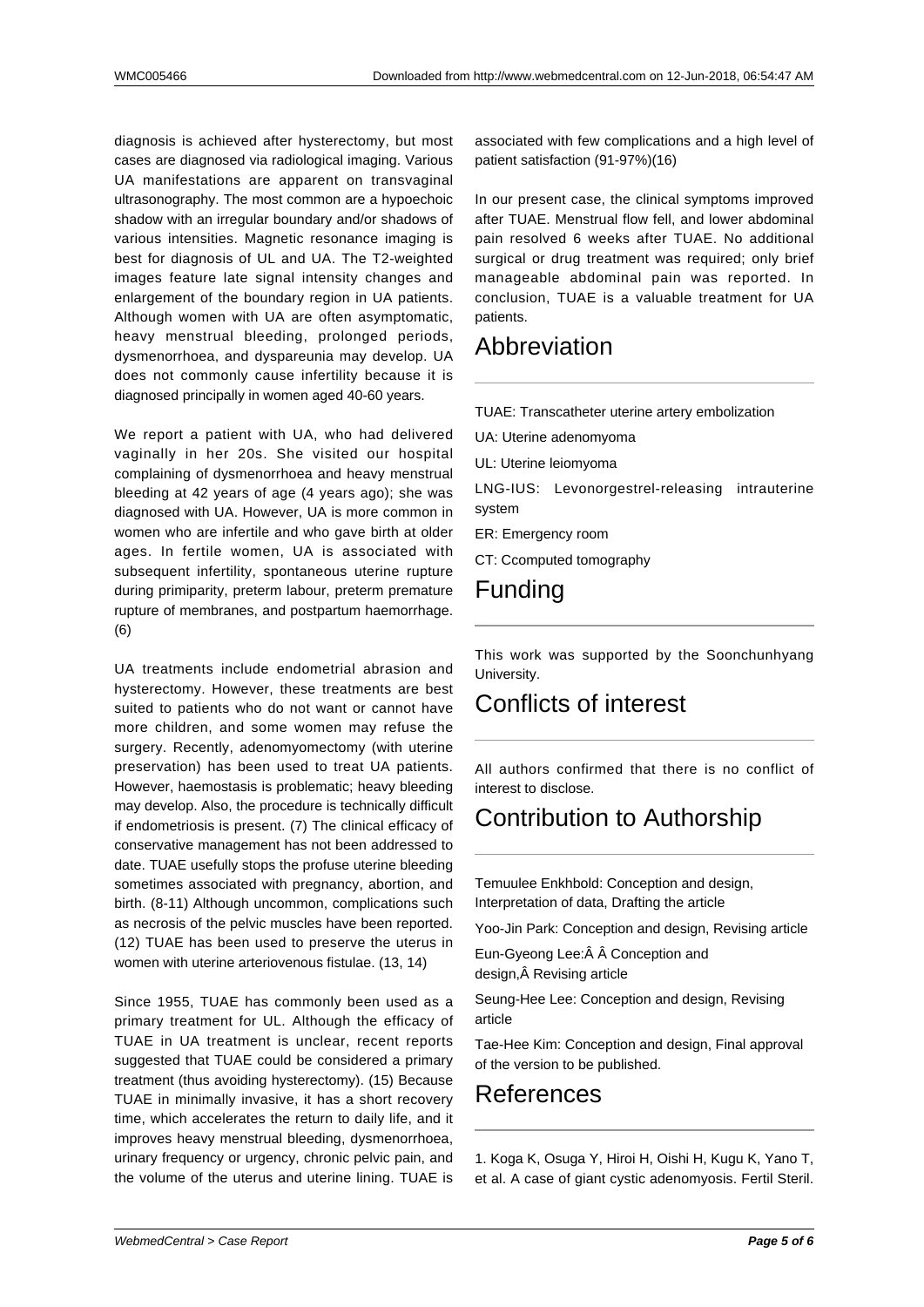diagnosis is achieved after hysterectomy, but most cases are diagnosed via radiological imaging. Various UA manifestations are apparent on transvaginal ultrasonography. The most common are a hypoechoic shadow with an irregular boundary and/or shadows of various intensities. Magnetic resonance imaging is best for diagnosis of UL and UA. The T2-weighted images feature late signal intensity changes and enlargement of the boundary region in UA patients. Although women with UA are often asymptomatic, heavy menstrual bleeding, prolonged periods, dysmenorrhoea, and dyspareunia may develop. UA does not commonly cause infertility because it is diagnosed principally in women aged 40-60 years.

We report a patient with UA, who had delivered vaginally in her 20s. She visited our hospital complaining of dysmenorrhoea and heavy menstrual bleeding at 42 years of age (4 years ago); she was diagnosed with UA. However, UA is more common in women who are infertile and who gave birth at older ages. In fertile women, UA is associated with subsequent infertility, spontaneous uterine rupture during primiparity, preterm labour, preterm premature rupture of membranes, and postpartum haemorrhage. (6)

UA treatments include endometrial abrasion and hysterectomy. However, these treatments are best suited to patients who do not want or cannot have more children, and some women may refuse the surgery. Recently, adenomyomectomy (with uterine preservation) has been used to treat UA patients. However, haemostasis is problematic; heavy bleeding may develop. Also, the procedure is technically difficult if endometriosis is present. (7) The clinical efficacy of conservative management has not been addressed to date. TUAE usefully stops the profuse uterine bleeding sometimes associated with pregnancy, abortion, and birth. (8-11) Although uncommon, complications such as necrosis of the pelvic muscles have been reported. (12) TUAE has been used to preserve the uterus in women with uterine arteriovenous fistulae. (13, 14)

Since 1955, TUAE has commonly been used as a primary treatment for UL. Although the efficacy of TUAE in UA treatment is unclear, recent reports suggested that TUAE could be considered a primary treatment (thus avoiding hysterectomy). (15) Because TUAE in minimally invasive, it has a short recovery time, which accelerates the return to daily life, and it improves heavy menstrual bleeding, dysmenorrhoea, urinary frequency or urgency, chronic pelvic pain, and the volume of the uterus and uterine lining. TUAE is associated with few complications and a high level of patient satisfaction (91-97%)(16)

In our present case, the clinical symptoms improved after TUAE. Menstrual flow fell, and lower abdominal pain resolved 6 weeks after TUAE. No additional surgical or drug treatment was required; only brief manageable abdominal pain was reported. In conclusion, TUAE is a valuable treatment for UA patients.

## Abbreviation

TUAE: Transcatheter uterine artery embolization

UA: Uterine adenomyoma

UL: Uterine leiomyoma

LNG-IUS: Levonorgestrel-releasing intrauterine system

ER: Emergency room

CT: Ccomputed tomography

Funding

This work was supported by the Soonchunhyang University.

### Conflicts of interest

All authors confirmed that there is no conflict of interest to disclose.

# Contribution to Authorship

Temuulee Enkhbold: Conception and design, Interpretation of data, Drafting the article

Yoo-Jin Park: Conception and design, Revising article

Eun-Gyeong Lee:Â Â Conception and design, Â Revising article

Seung-Hee Lee: Conception and design, Revising article

Tae-Hee Kim: Conception and design, Final approval of the version to be published.

### References

1. Koga K, Osuga Y, Hiroi H, Oishi H, Kugu K, Yano T, et al. A case of giant cystic adenomyosis. Fertil Steril.